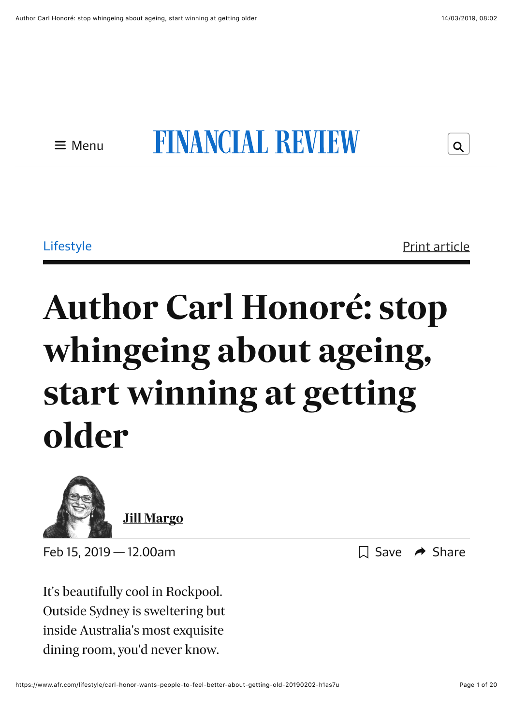$\mathsf{Q}$ 



## **FINANCIAL REVIEW**

[Lifestyle](https://www.afr.com/lifestyle) **Print article** 

 $\Box$  Save  $\rightarrow$  Share

# *Author Carl Honoré: stop whingeing about ageing, start winning at getting older*



Feb 15, 2019 — 12.00am

*It's beautifully cool in Rockpool. Outside Sydney is sweltering but inside Australia's most exquisite dining room, you'd never know.*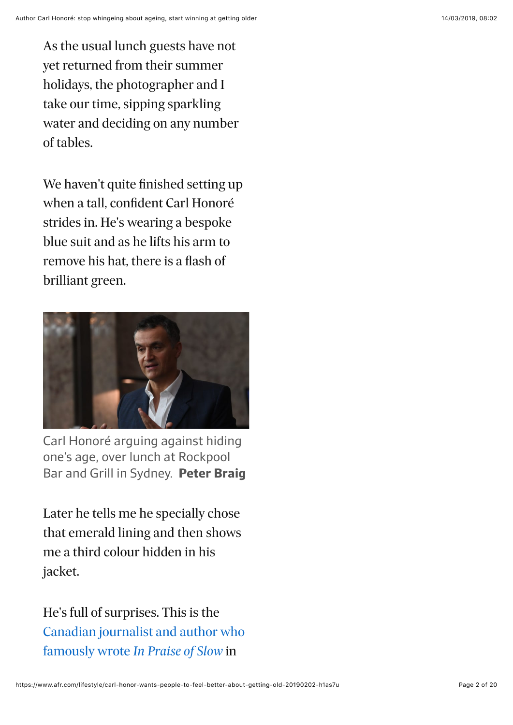*As the usual lunch guests have not yet returned from their summer holidays, the photographer and I take our time, sipping sparkling water and deciding on any number of tables.*

*We haven't quite* fi*nished setting up when a tall, con*fi*dent Carl Honoré strides in. He's wearing a bespoke blue suit and as he lifts his arm to remove his hat, there is a* fl*ash of brilliant green.*



Carl Honoré arguing against hiding one's age, over lunch at Rockpool Bar and Grill in Sydney. **Peter Braig**

*Later he tells me he specially chose that emerald lining and then shows me a third colour hidden in his jacket.*

*He's full of surprises. This is the [Canadian journalist and author who](https://www.smh.com.au/national/hyperparenting-is-making-kids-fall-apart-says-family-coach-carl-honore-20150806-git4r5.html) famously wrote In Praise of Slow in*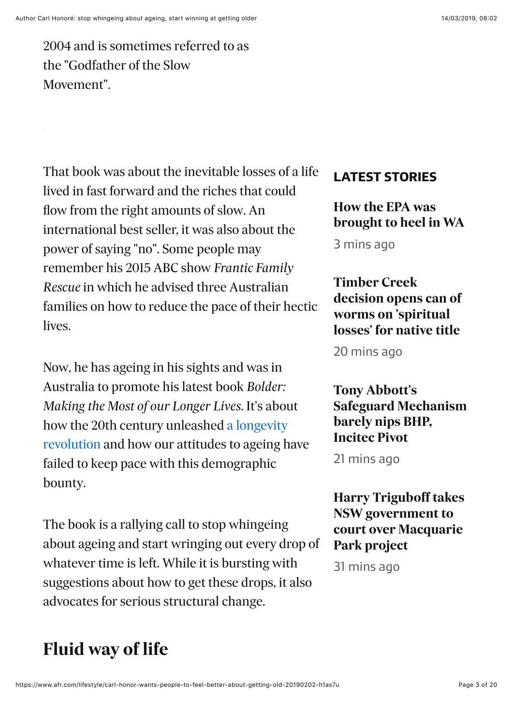*2004 and is sometimes referred to as the "Godfather of the Slow Movement".*

*That book was about the inevitable losses of a life lived in fast forward and the riches that could* fl*ow from the right amounts of slow. An international best seller, it was also about the power of saying "no". Some people may remember his 2015 ABC show Frantic Family Rescue in which he advised three Australian families on how to reduce the pace of their hectic lives.*

*Now, he has ageing in his sights and was in Australia to promote his latest book Bolder: Making the Most of our Longer Lives. It's about how the 20th century unleashed a longevity [revolution and how our attitudes to ageing h](https://www.afr.com/lifestyle/health/fitness/nine-things-people-who-live-longer-have-in-common-20180119-h0kq1w)ave failed to keep pace with this demographic bounty.*

*The book is a rallying call to stop whingeing about ageing and start wringing out every drop of whatever time is left. While it is bursting with suggestions about how to get these drops, it also advocates for serious structural change.*

#### **[LATEST STORIES](https://www.afr.com/latest)**

*How the EPA was [brought to heel in WA](https://www.afr.com/business/environmental-services/industry-pays-the-cost-of-lower-emissions-20190314-h1cdq6)* 3 mins ago

*Timber Creek [decision opens can of](https://www.afr.com/news/politics/timber-creek-decision-opens-can-of-worms-on-spiritual-losses-for-native-title-20190314-h1ccu8) worms on 'spiritual losses' for native title*

20 mins ago

*Tony Abbott's [Safeguard Mechanism](https://www.afr.com/news/tony-abbotts-safeguard-mechanism-barely-nips-bhp-incitec-pivot-20190314-h1cdxn) barely nips BHP, Incitec Pivot*

21 mins ago

*[Harry Triguboff takes](https://www.afr.com/real-estate/harry-triguboff-takes-nsw-government-to-court-over-macquarie-park-project-20190314-h1ce04) NSW government to court over Macquarie Park project*

31 mins ago

## *Fluid way of life*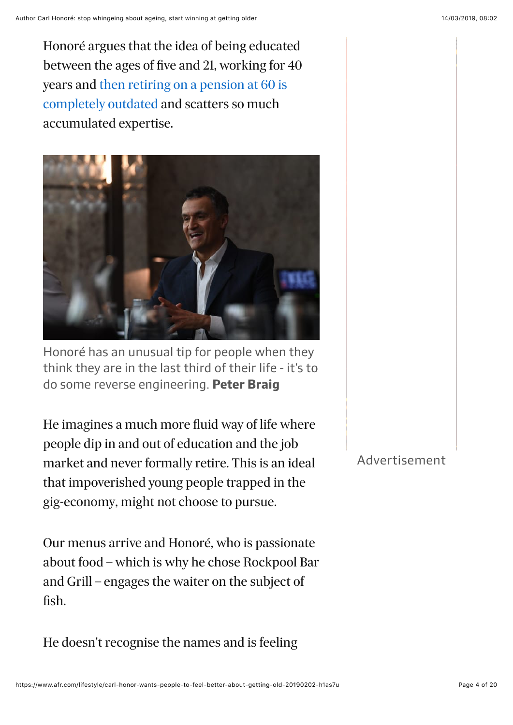*Honoré argues that the idea of being educated between the ages of* fi*ve and 21, working for 40 [years and then retiring on a pension at 60 is](https://www.afr.com/personal-finance/shares/living-for-150-years-to-revolutionise-markets-20180123-h0mttc) completely outdated and scatters so much accumulated expertise.*



Honoré has an unusual tip for people when they think they are in the last third of their life - it's to do some reverse engineering. **Peter Braig**

*He imagines a much more* fl*uid way of life where people dip in and out of education and the job market and never formally retire. This is an ideal that impoverished young people trapped in the gig-economy, might not choose to pursue.*

*Our menus arrive and Honoré, who is passionate about food – which is why he chose Rockpool Bar and Grill – engages the waiter on the subject of* fi*sh.*

*He doesn't recognise the names and is feeling*

Advertisement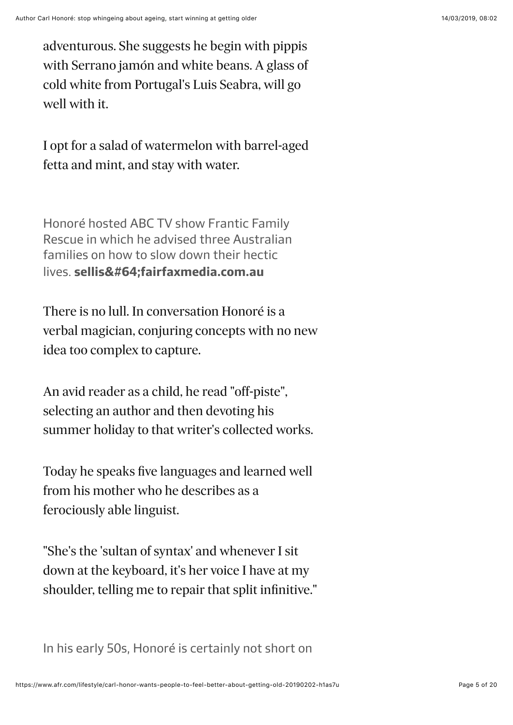*adventurous. She suggests he begin with pippis with Serrano jamón and white beans. A glass of cold white from Portugal's Luis Seabra, will go well with it.*

*I opt for a salad of watermelon with barrel-aged fetta and mint, and stay with water.*

Honoré hosted ABC TV show Frantic Family Rescue in which he advised three Australian families on how to slow down their hectic lives. sellis@fairfaxmedia.com.au

*There is no lull. In conversation Honoré is a verbal magician, conjuring concepts with no new idea too complex to capture.*

*An avid reader as a child, he read "off-piste", selecting an author and then devoting his summer holiday to that writer's collected works.*

*Today he speaks* fi*ve languages and learned well from his mother who he describes as a ferociously able linguist.*

*"She's the 'sultan of syntax' and whenever I sit down at the keyboard, it's her voice I have at my shoulder, telling me to repair that split in*fi*nitive."*

In his early 50s, Honoré is certainly not short on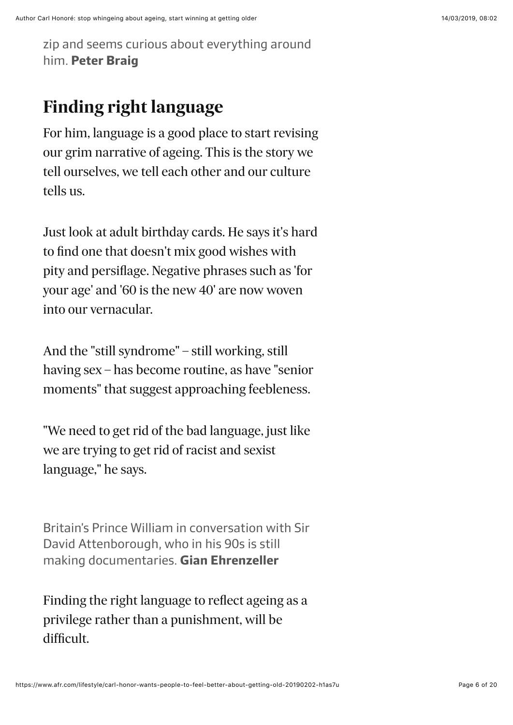zip and seems curious about everything around him. **Peter Braig**

### *Finding right language*

*For him, language is a good place to start revising our grim narrative of ageing. This is the story we tell ourselves, we tell each other and our culture tells us.*

*Just look at adult birthday cards. He says it's hard to* fi*nd one that doesn't mix good wishes with pity and persi*fl*age. Negative phrases such as 'for your age' and '60 is the new 40' are now woven into our vernacular.*

*And the "still syndrome" – still working, still having sex – has become routine, as have "senior moments" that suggest approaching feebleness.*

*"We need to get rid of the bad language, just like we are trying to get rid of racist and sexist language," he says.*

Britain's Prince William in conversation with Sir David Attenborough, who in his 90s is still making documentaries. **Gian Ehrenzeller**

*Finding the right language to re*fl*ect ageing as a privilege rather than a punishment, will be dif*fi*cult.*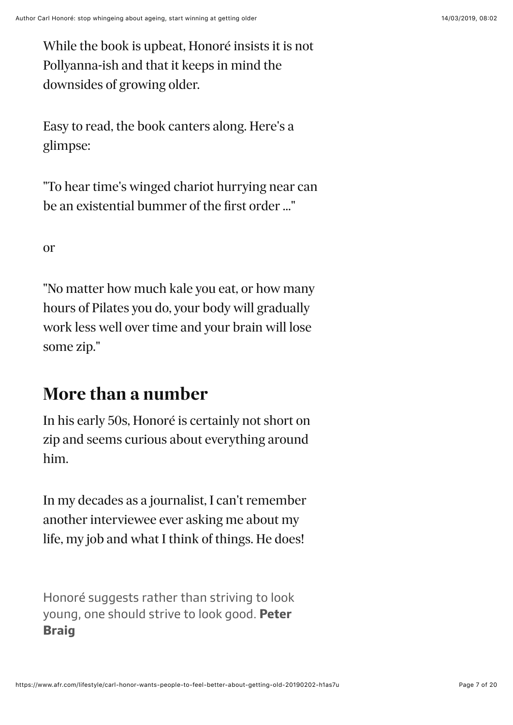*While the book is upbeat, Honoré insists it is not Pollyanna-ish and that it keeps in mind the downsides of growing older.*

*Easy to read, the book canters along. Here's a glimpse:*

*"To hear time's winged chariot hurrying near can be an existential bummer of the* fi*rst order …"*

*or*

*"No matter how much kale you eat, or how many hours of Pilates you do, your body will gradually work less well over time and your brain will lose some zip."*

### *More than a number*

*In his early 50s, Honoré is certainly not short on zip and seems curious about everything around him.*

*In my decades as a journalist, I can't remember another interviewee ever asking me about my life, my job and what I think of things. He does!*

Honoré suggests rather than striving to look young, one should strive to look good. **Peter Braig**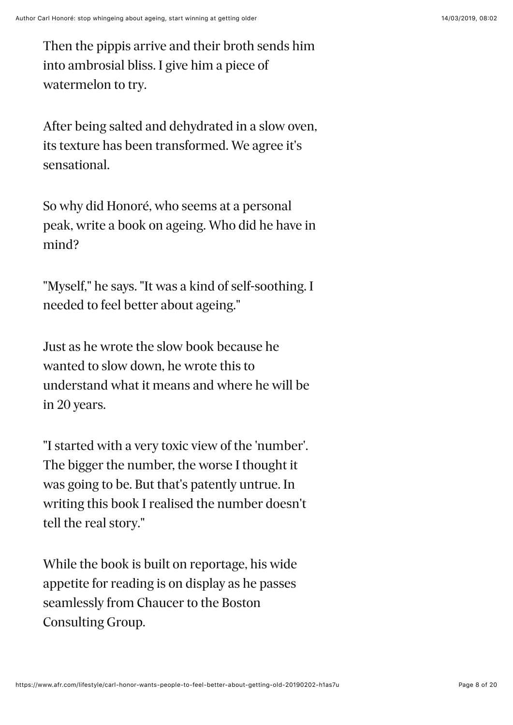*Then the pippis arrive and their broth sends him into ambrosial bliss. I give him a piece of watermelon to try.*

*After being salted and dehydrated in a slow oven, its texture has been transformed. We agree it's sensational.*

*So why did Honoré, who seems at a personal peak, write a book on ageing. Who did he have in mind?*

*"Myself," he says. "It was a kind of self-soothing. I needed to feel better about ageing."*

*Just as he wrote the slow book because he wanted to slow down, he wrote this to understand what it means and where he will be in 20 years.*

*"I started with a very toxic view of the 'number'. The bigger the number, the worse I thought it was going to be. But that's patently untrue. In writing this book I realised the number doesn't tell the real story."*

*While the book is built on reportage, his wide appetite for reading is on display as he passes seamlessly from Chaucer to the Boston Consulting Group.*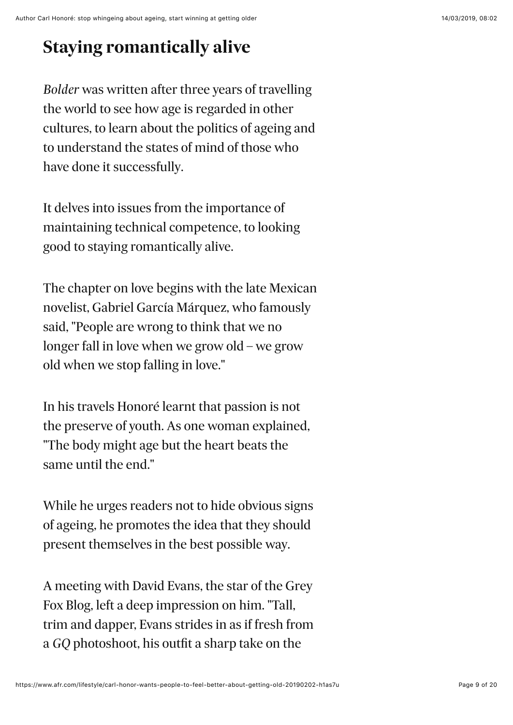### *Staying romantically alive*

*Bolder was written after three years of travelling the world to see how age is regarded in other cultures, to learn about the politics of ageing and to understand the states of mind of those who have done it successfully.*

*It delves into issues from the importance of maintaining technical competence, to looking good to staying romantically alive.*

*The chapter on love begins with the late Mexican novelist, Gabriel García Márquez, who famously said, "People are wrong to think that we no longer fall in love when we grow old – we grow old when we stop falling in love."*

*In his travels Honoré learnt that passion is not the preserve of youth. As one woman explained, "The body might age but the heart beats the same until the end."*

*While he urges readers not to hide obvious signs of ageing, he promotes the idea that they should present themselves in the best possible way.*

*A meeting with David Evans, the star of the Grey Fox Blog, left a deep impression on him. "Tall, trim and dapper, Evans strides in as if fresh from a GQ photoshoot, his out*fi*t a sharp take on the*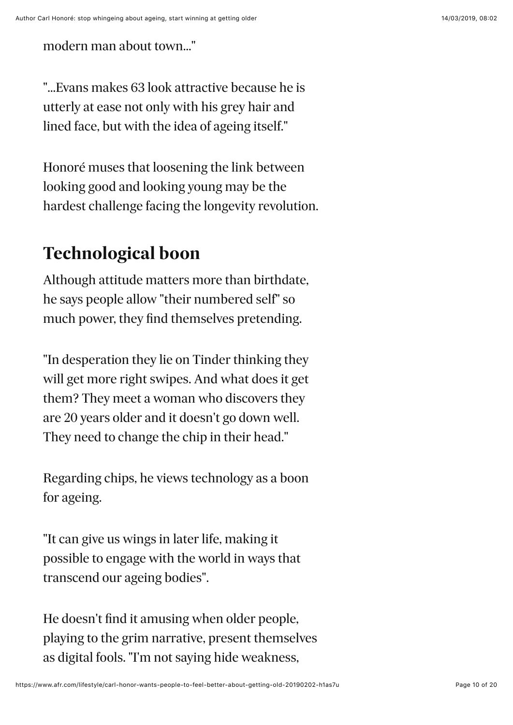*modern man about town…"*

*"…Evans makes 63 look attractive because he is utterly at ease not only with his grey hair and lined face, but with the idea of ageing itself."*

*Honoré muses that loosening the link between looking good and looking young may be the hardest challenge facing the longevity revolution.*

### *Technological boon*

*Although attitude matters more than birthdate, he says people allow "their numbered self" so much power, they* fi*nd themselves pretending.*

*"In desperation they lie on Tinder thinking they will get more right swipes. And what does it get them? They meet a woman who discovers they are 20 years older and it doesn't go down well. They need to change the chip in their head."*

*Regarding chips, he views technology as a boon for ageing.*

*"It can give us wings in later life, making it possible to engage with the world in ways that transcend our ageing bodies".*

*He doesn't* fi*nd it amusing when older people, playing to the grim narrative, present themselves as digital fools. "I'm not saying hide weakness,*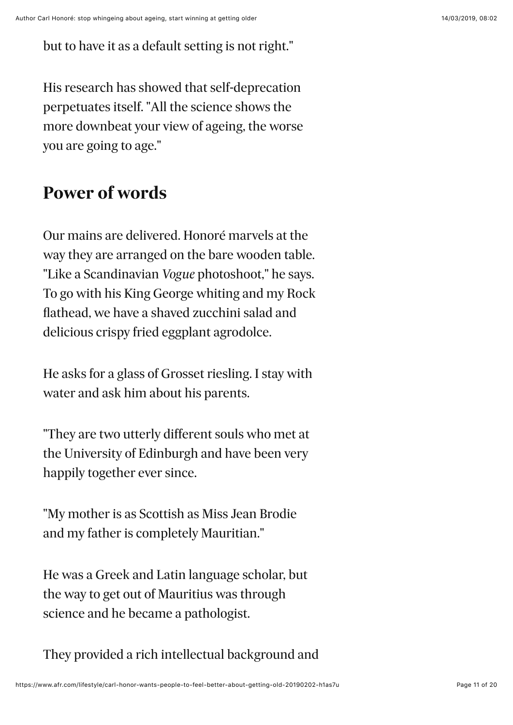*but to have it as a default setting is not right."*

*His research has showed that self-deprecation perpetuates itself. "All the science shows the more downbeat your view of ageing, the worse you are going to age."*

### *Power of words*

*Our mains are delivered. Honoré marvels at the way they are arranged on the bare wooden table. "Like a Scandinavian Vogue photoshoot," he says. To go with his King George whiting and my Rock* fl*athead, we have a shaved zucchini salad and delicious crispy fried eggplant agrodolce.*

*He asks for a glass of Grosset riesling. I stay with water and ask him about his parents.*

*"They are two utterly different souls who met at the University of Edinburgh and have been very happily together ever since.*

*"My mother is as Scottish as Miss Jean Brodie and my father is completely Mauritian."*

*He was a Greek and Latin language scholar, but the way to get out of Mauritius was through science and he became a pathologist.*

*They provided a rich intellectual background and*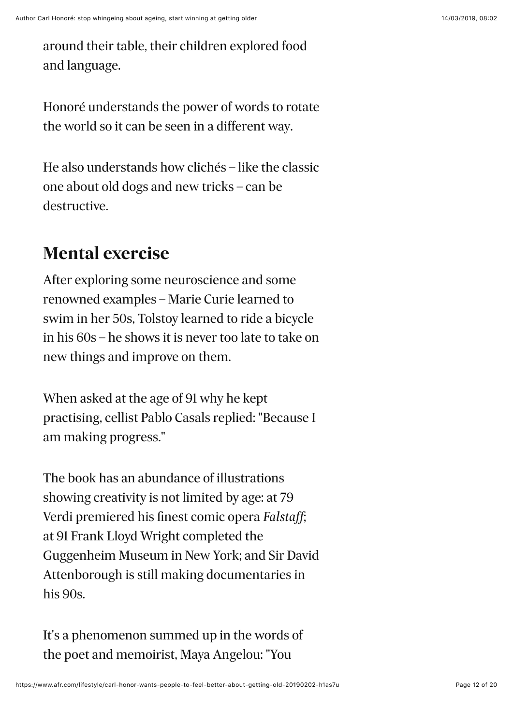*around their table, their children explored food and language.*

*Honoré understands the power of words to rotate the world so it can be seen in a different way.*

*He also understands how clichés – like the classic one about old dogs and new tricks – can be destructive.*

### *Mental exercise*

*After exploring some neuroscience and some renowned examples – Marie Curie learned to swim in her 50s, Tolstoy learned to ride a bicycle in his 60s – he shows it is never too late to take on new things and improve on them.*

*When asked at the age of 91 why he kept practising, cellist Pablo Casals replied: "Because I am making progress."*

*The book has an abundance of illustrations showing creativity is not limited by age: at 79 Verdi premiered his* fi*nest comic opera Falstaff; at 91 Frank Lloyd Wright completed the Guggenheim Museum in New York; and Sir David Attenborough is still making documentaries in his 90s.*

*It's a phenomenon summed up in the words of the poet and memoirist, Maya Angelou: "You*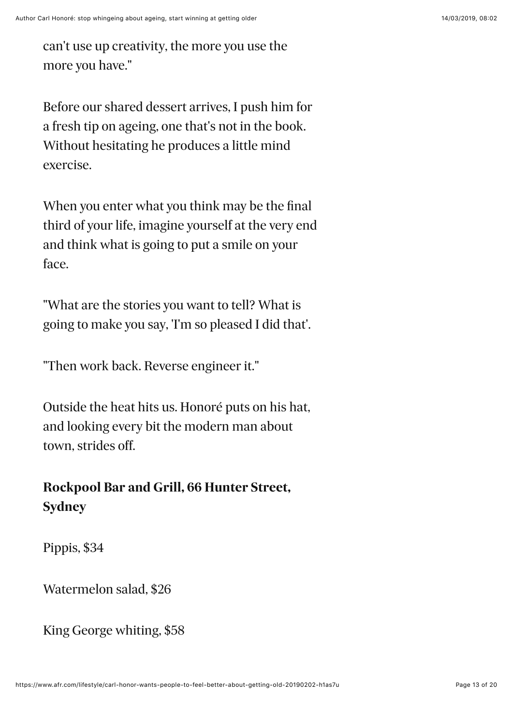*can't use up creativity, the more you use the more you have."*

*Before our shared dessert arrives, I push him for a fresh tip on ageing, one that's not in the book. Without hesitating he produces a little mind exercise.*

*When you enter what you think may be the* fi*nal third of your life, imagine yourself at the very end and think what is going to put a smile on your face.*

*"What are the stories you want to tell? What is going to make you say, 'I'm so pleased I did that'.*

*"Then work back. Reverse engineer it."*

*Outside the heat hits us. Honoré puts on his hat, and looking every bit the modern man about town, strides off.*

### *Rockpool Bar and Grill, 66 Hunter Street, Sydney*

*Pippis, \$34*

*Watermelon salad, \$26*

*King George whiting, \$58*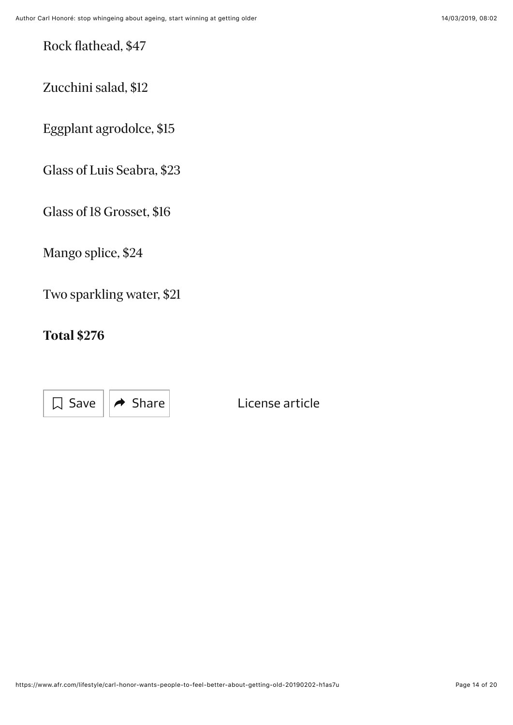*Rock* fl*athead, \$47*

*Zucchini salad, \$12*

*Eggplant agrodolce, \$15*

*Glass of Luis Seabra, \$23*

*Glass of 18 Grosset, \$16*

*Mango splice, \$24*

*Two sparkling water, \$21*

#### *Total \$276*

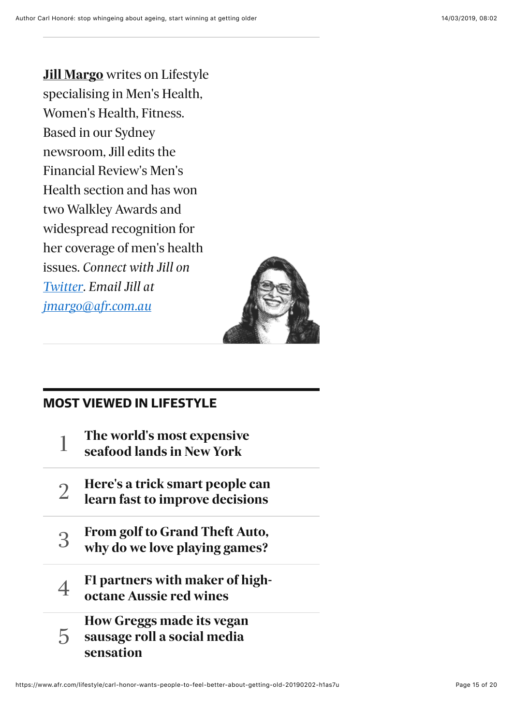*[Jill Margo](https://www.afr.com/jill-margo-j7gd4) writes on Lifestyle specialising in Men's Health, Women's Health, Fitness. Based in our Sydney newsroom, Jill edits the Financial Review's Men's Health section and has won two Walkley Awards and widespread recognition for her coverage of men's health issues. Connect with Jill on [Twitter](https://twitter.com/jillmargo1?lang=en). Email Jill at [jmargo@afr.com.au](mailto:jmargo@afr.com.au)*



#### **MOST VIEWED IN LIFESTYLE**

- *[The world's most expensive](https://www.afr.com/lifestyle/food-and-wine/fine-dining/the-world-s-most-expensive-seafood-lands-in-new-york-20190314-p51444) seafood lands in New York 1*
- *[Here's a trick smart people can](https://www.afr.com/lifestyle/heres-a-trick-smart-people-can-learn-in-a-few-minutes-to-improve-decisions-20190308-h1c6gx) 2 learn fast to improve decisions*
- *[From golf to Grand Theft Auto,](https://www.afr.com/lifestyle/arts-and-entertainment/from-golf-to-grand-theft-auto-why-do-we-love-playing-games-20190305-h1c0dn) 3 why do we love playing games?*
- *[F1 partners with maker of high-](https://www.afr.com/lifestyle/food-and-wine/wine-and-spirits/f1-partners-with-maker-of-highoctane-aussie-red-wines-20190312-h1cadv) 4 octane Aussie red wines*
- *[How Greggs made its vegan](https://www.afr.com/lifestyle/food-and-wine/how-greggs-made-its-vegan-sausage-roll-a-social-media-sensation-20190313-p513rz) sausage roll a social media sensation 5*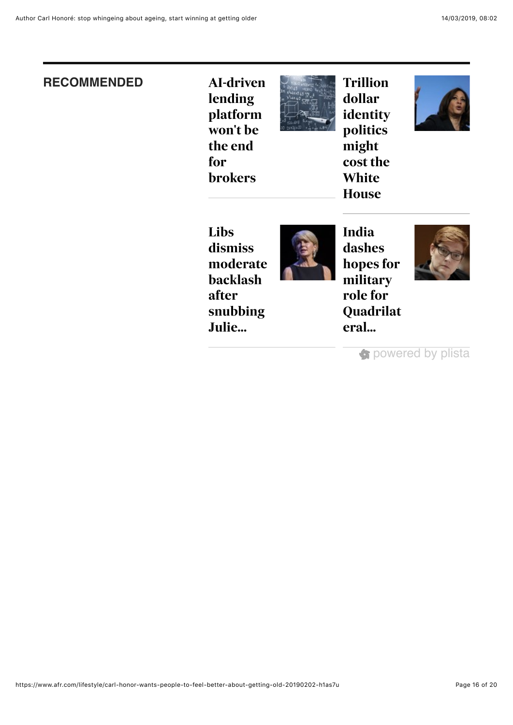#### **RECOMMENDED** *[AI-driven](https://www.afr.com/real-estate/commercial/aidriven-lending-platform-wont-be-the-end-for-brokers-20190312-h1c9uc)*

*lending platform won't be the end for brokers*



*Trillion dollar [identity](https://www.afr.com/news/economy/ultimate-identity-politics-would-cost-trillions-and-the-white-house-20190313-h1cbjv) politics might cost the White House*



*Libs dismiss [moderate](https://www.afr.com/news/politics/libs-dismiss-moderate-backlash-after-snubbing-julie-bishops-pick-for-curtin-20190311-h1c8am) backlash after snubbing Julie...*



*India dashes hopes for military role for [Quadrilat](https://www.afr.com/news/politics/india-dashes-hopes-for-military-role-for-quadrilateral-security-dialogue-20190311-h1c8ak) eral...*



**s** [powered by plista](https://www.plista.com/au)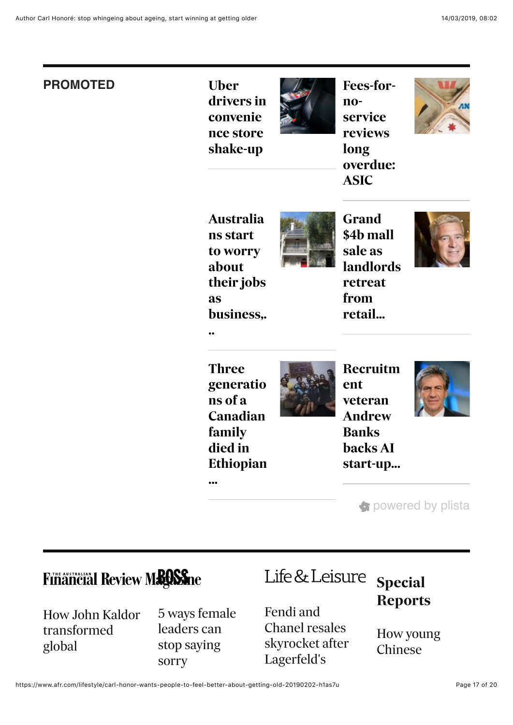#### **PROMOTED** *Uber*

*[drivers in](https://www.afr.com/business/transport/automobile/uber-drivers-in-convenience-store-shakeup-20190313-h1cbay) convenie nce store shake-up*



*[Fees-for](https://www.afr.com/business/banking-and-finance/fees-for-no-service-reviews-long-overdue-asic-20190311-h1c8ye)noservice reviews long overdue: ASIC*



*Australia ns start to worry about their jobs as [business,.](https://www.afr.com/news/economy/employment/consumer-sentiment-on-housing-lowest-on-record-westpac-mi-20190313-h1cbb2)*

*..*

*...*



*Grand \$4b mall sale as [landlords](https://www.afr.com/real-estate/commercial/investment/grand-4b-mall-sale-as-landlords-retreat-from-retail-headwinds-20190311-h1c951) retreat from retail...*



*Three generatio ns of a Canadian family died in [Ethiopian](https://www.afr.com/news/world/north-america/three-generations-of-a-canadian-family-died-in-ethiopian-plane-crash-20190313-h1cc7c)*



*Recruitm ent veteran Andrew Banks backs AI [start-up...](https://www.afr.com/technology/recruitment-veteran-andrew-banks-backs-ai-startup-shortlyster-20190305-h1c01w)*



**powered by plista** 

### **Financial Review Magazine**

*[How John Kaldor](https://www.afr.com/brand/afr-magazine/how-john-kaldor-transformed-global-contemporary-art-20181203-h18muj) transformed global*

*[5 ways female](https://www.afr.com/brand/boss/5-ways-female-leaders-can-stop-saying-sorry-20190206-h1ax55) leaders can stop saying sorry*

Life & Leisure Special

*Fendi and Chanel resales [skyrocket after](https://www.afr.com/lifestyle/fashion/fendi-and-chanel-resales-skyrocket-after-lagerfelds-death-20190314-h1cdqo) Lagerfeld's*

## *[Reports](https://www.afr.com/news/special-reports)*

*[How young](https://www.afr.com/news/how-young-chinese-women-are-taking-on-xi-jinping-20190306-h1c2wd) Chinese*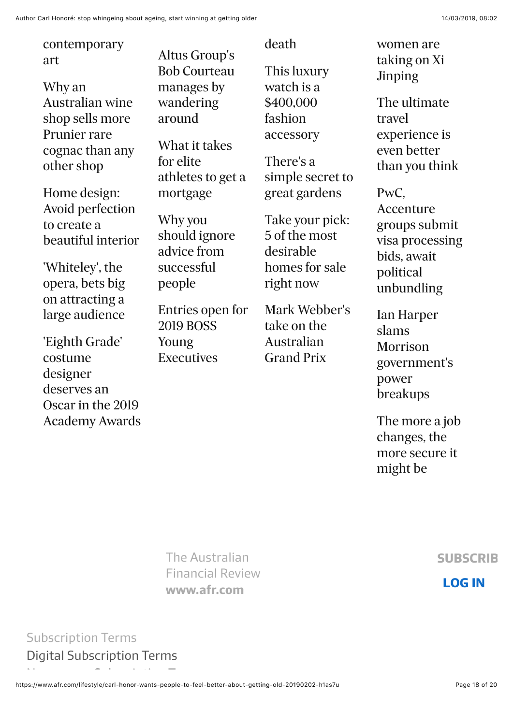| contemporary |  |
|--------------|--|
| art          |  |
| <b>TA 71</b> |  |

*Why an Australian wine shop sells more Prunier rare [cognac than any](https://www.afr.com/brand/afr-magazine/why-an-australian-wine-shop-sells-more-prunier-rare-cognac-than-any-other-shop-20190103-h19o5c) other shop*

*Home design: Avoid perfection to create a [beautiful interior](https://www.afr.com/brand/afr-magazine/home-design-avoid-perfection-to-create-a-beautiful-interior-20190201-h1aqcy)*

*'Whiteley', the opera, bets big on attracting a [large audience](https://www.afr.com/brand/afr-magazine/whiteley-the-opera-bets-big-on-attracting-a-large-audience-20190103-h19o7e)*

*'Eighth Grade' costume designer deserves an Oscar in the 2019 [Academy Awards](https://www.afr.com/brand/afr-magazine/eighth-grade-costume-designer-deserves-an-oscar-20190103-h19o49)* *[Altus Group's](https://www.afr.com/brand/boss/altus-groups-bob-courteau-manages-by-wandering-around-20180807-h13obm) Bob Courteau manages by wandering around*

*What it takes for elite [athletes to get a](https://www.afr.com/brand/boss/what-it-takes-for-nonpermanent-employees-to-get-a-mortgage-20190301-h1bvw2) mortgage*

*Why you [should ignore](https://www.afr.com/brand/boss/why-you-shouldnt-get-advice-from-successful-people-according-to-science-20181120-h183mv) advice from successful people*

*[Entries open for](https://www.afr.com/brand/boss/entries-open-for-2019-boss-young-executives-20190220-h1biav) 2019 BOSS Young Executives*

*[This luxury](https://www.afr.com/brand/luxury/this-luxury-watch-is-a-400000-fashion-accessory-20190219-h1bfwf) watch is a \$400,000 fashion accessory*

*[death](https://www.afr.com/lifestyle/fashion/fendi-and-chanel-resales-skyrocket-after-lagerfelds-death-20190314-h1cdqo)*

*There's a [simple secret to](https://www.afr.com/brand/life-and-leisure/theres-a-simple-secret-to-great-gardens-20190301-h1bw1k) great gardens*

*[Take your pick:](https://www.afr.com/brand/life-and-leisure/take-your-pick-5-of-the-most-desirable-homes-for-sale-right-now-20190301-h1bv2o) 5 of the most desirable homes for sale right now*

*[Mark Webber's](https://www.afr.com/brand/life-and-leisure/australian-grand-prix-preview-the-teams-the-drivers-and-mark-webbers-thoughts-20190228-h1btdg) take on the Australian Grand Prix*

*women are [taking on Xi](https://www.afr.com/news/how-young-chinese-women-are-taking-on-xi-jinping-20190306-h1c2wd) Jinping*

*The ultimate travel experience is even better [than you think](https://www.afr.com/news/special-reports/the-ultimate-travel-experience-is-even-better-than-you-think-20190301-h1bw4y)*

*PwC, Accenture groups submit [visa processing](https://www.afr.com/street-talk/pwc-accenture-groups-submit-visa-processing-bids-await-political-unbundling-20190305-h1bzh7) bids, await political unbundling*

*Ian Harper slams Morrison [government's](https://www.afr.com/news/ian-harper-slams-morrison-governments-power-break-ups-20190211-h1b4bf) power breakups*

*[The more a job](https://www.afr.com/news/special-reports/future-of-work/the-more-a-job-changes-the-more-secure-it-might-be-20190208-h1b138) changes, the more secure it might be*

The Australian [Financial Review](https://www.afr.com/) **www.afr.com**

**[SUBSCRIB](https://subscribe.afr.com/?promote_channel=HI_AFR_GNL_FL&utm_source=afr.com&utm_medium=HouseInventory&utm_campaign=General&utm_content=FTR)** 

**LOG IN**

#### [Digital Subscription Terms](https://www.afr.com/digital-subscription-terms) Subscription Terms

https://www.afr.com/lifestyle/carl-honor-wants-people-to-feel-better-about-getting-old-20190202-h1as7u Page 18 of 20 [Newspaper Subscription Terms](https://www.afr.com/newspaper-subscription-terms)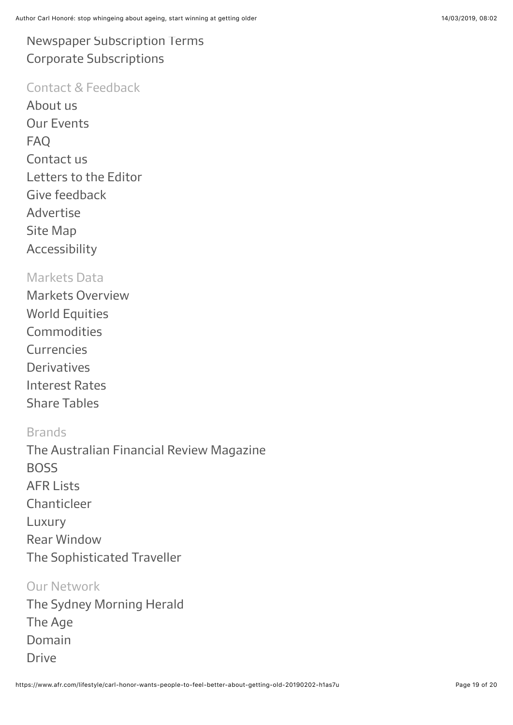#### [Newspaper Subscription Terms](https://www.afr.com/newspaper-subscription-terms) [Corporate Subscriptions](https://www.corporatesubscriptions.com.au/)

#### Contact & Feedback

[About us](https://www.afr.com/about-us) [Our Events](https://www.afr.com/our-events) [FAQ](https://www.afr.com/faq) [Contact us](https://www.afr.com/contact-us) [Letters to the Editor](https://www.afr.com/letters-to-the-editor) [Give feedback](https://www.fairfaxreadercommunity.com/c/a/6QENvLgwFgfEz6l02xHyYa?Brand=3) [Advertise](https://www.adcentre.com.au/brands/the-australian-financial-review) [Site Map](https://www.afr.com/sitemap) [Accessibility](https://www.afr.com/accessibility)

#### Markets Data

[Markets Overview](https://www.afr.com/markets-data) [World Equities](https://www.afr.com/markets-data/world-equities) [Commodities](https://www.afr.com/markets-data/commodities) **[Currencies](https://www.afr.com/markets-data/currencies)** [Derivatives](https://www.afr.com/markets-data/derivatives) [Interest Rates](https://www.afr.com/markets-data/interest-rates) [Share Tables](https://www.afr.com/share-tables)

#### **Brands**

[The Australian Financial Review Magazine](https://www.afr.com/afr-magazine) [BOSS](https://www.afr.com/boss) [AFR Lists](https://www.afr.com/leadership/afr-lists) [Chanticleer](https://www.afr.com/chanticleer) [Luxury](https://www.afr.com/luxury) [Rear Window](https://www.afr.com/rear-window) [The Sophisticated Traveller](https://www.afr.com/sophisticated-traveller)

#### Our Network

[The Sydney Morning Herald](https://www.smh.com.au/) [The Age](https://www.theage.com.au/) [Domain](https://www.domain.com.au/) [Drive](https://www.drive.com.au/)